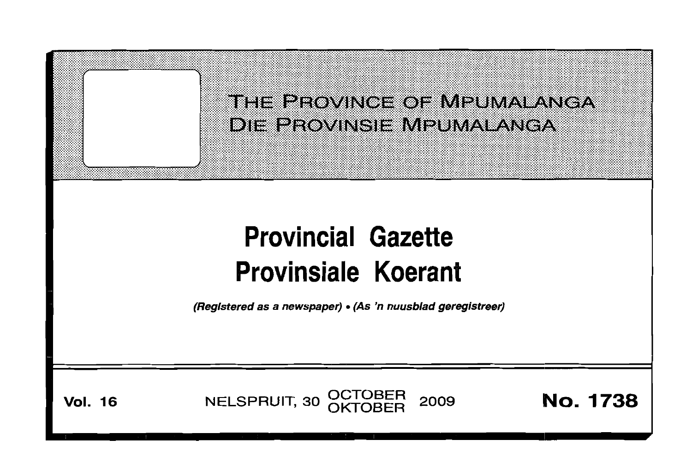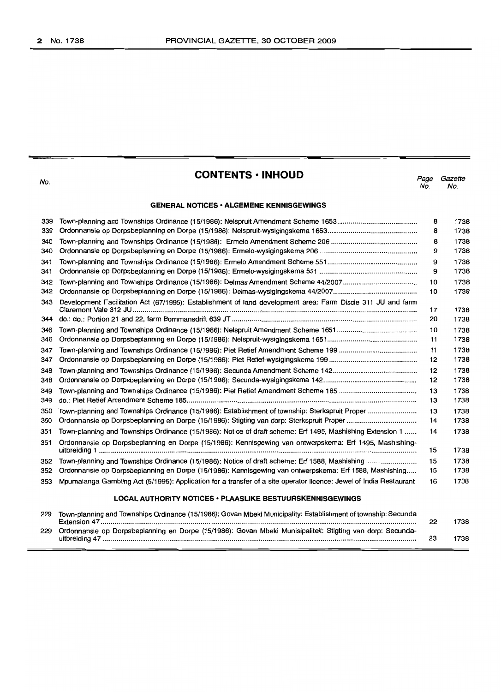No.

# **CONTENTS • INHOUD**

*Page Gazette* No. No.

### **GENERAL NOTICES· ALGEMENE KENNISGEWINGS**

| 339 |                                                                                                                    | 8  | 1738 |
|-----|--------------------------------------------------------------------------------------------------------------------|----|------|
| 339 |                                                                                                                    | 8  | 1738 |
| 340 |                                                                                                                    | 8  | 1738 |
| 340 |                                                                                                                    | 9  | 1738 |
| 341 |                                                                                                                    | 9  | 1738 |
| 341 |                                                                                                                    | 9  | 1738 |
| 342 |                                                                                                                    | 10 | 1738 |
| 342 |                                                                                                                    | 10 | 1738 |
| 343 | Development Facilitation Act (67/1995): Establishment of land development area: Farm Discie 311 JU and farm        | 17 | 1738 |
| 344 |                                                                                                                    | 20 | 1738 |
| 346 |                                                                                                                    | 10 | 1738 |
| 346 |                                                                                                                    | 11 | 1738 |
| 347 |                                                                                                                    | 11 | 1738 |
| 347 |                                                                                                                    | 12 | 1738 |
| 348 |                                                                                                                    | 12 | 1738 |
| 348 |                                                                                                                    | 12 | 1738 |
| 349 |                                                                                                                    | 13 | 1738 |
| 349 |                                                                                                                    | 13 | 1738 |
| 350 | Town-planning and Townships Ordinance (15/1986): Establishment of township: Sterkspruit Proper                     | 13 | 1738 |
| 350 |                                                                                                                    | 14 | 1738 |
| 351 | Town-planning and Townships Ordinance (15/1986): Notice of draft scheme: Erf 1495, Mashishing Extension 1          | 14 | 1738 |
| 351 | Ordonnansie op Dorpsbeplanning en Dorpe (15/1986): Kennisgewing van ontwerpskema: Erf 1495, Mashishing-            | 15 | 1738 |
| 352 |                                                                                                                    | 15 | 1738 |
| 352 | Ordonnansie op Dorpsbeplanning en Dorpe (15/1986): Kennisgewing van ontwerpskema: Erf 1588, Mashishing             | 15 | 1738 |
| 353 | Mpumalanga Gambling Act (5/1995): Application for a transfer of a site operator licence: Jewel of India Restaurant | 16 | 1738 |
|     | <b>LOCAL AUTHORITY NOTICES • PLAASLIKE BESTUURSKENNISGEWINGS</b>                                                   |    |      |

| 229 | Town-planning and Townships Ordinance (15/1986): Govan Mbeki Municipality: Establishment of township: Secunda |    | 738  |
|-----|---------------------------------------------------------------------------------------------------------------|----|------|
| 229 | Ordonnansie op Dorpsbeplanning en Dorpe (15/1986): Govan Mbeki Munisipaliteit: Stigting van dorp: Secunda-    | 23 | 1738 |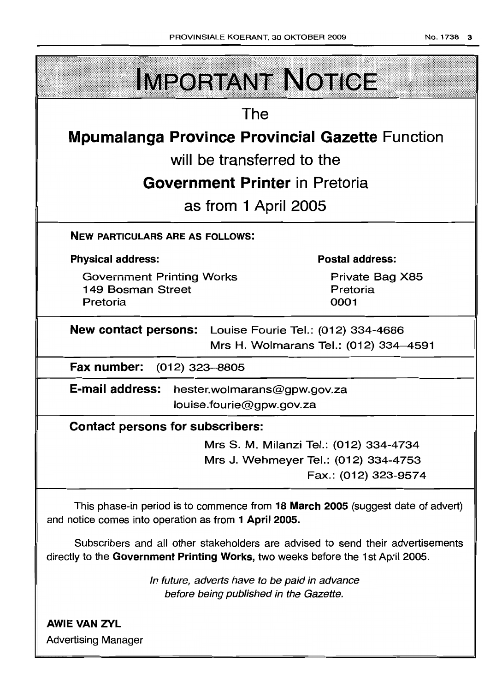| <b>IMPORTANT NOTICE</b>                                                                                                                                            |  |
|--------------------------------------------------------------------------------------------------------------------------------------------------------------------|--|
| The                                                                                                                                                                |  |
| <b>Mpumalanga Province Provincial Gazette Function</b>                                                                                                             |  |
| will be transferred to the                                                                                                                                         |  |
| <b>Government Printer</b> in Pretoria                                                                                                                              |  |
| as from 1 April 2005                                                                                                                                               |  |
| <b>NEW PARTICULARS ARE AS FOLLOWS:</b>                                                                                                                             |  |
| <b>Postal address:</b><br><b>Physical address:</b>                                                                                                                 |  |
| <b>Government Printing Works</b><br>Private Bag X85<br>149 Bosman Street<br>Pretoria<br>0001<br>Pretoria                                                           |  |
| <b>New contact persons:</b> Louise Fourie Tel.: (012) 334-4686<br>Mrs H. Wolmarans Tel.: (012) 334-4591                                                            |  |
| Fax number:<br>(012) 323–8805                                                                                                                                      |  |
| <b>E-mail address:</b><br>hester.wolmarans@gpw.gov.za<br>louise.fourie@gpw.gov.za                                                                                  |  |
| <b>Contact persons for subscribers:</b>                                                                                                                            |  |
| Mrs S. M. Milanzi Tel.: (012) 334-4734                                                                                                                             |  |
| Mrs J. Wehmeyer Tel.: (012) 334-4753<br>Fax.: (012) 323-9574                                                                                                       |  |
| This phase-in period is to commence from 18 March 2005 (suggest date of advert)<br>and notice comes into operation as from 1 April 2005.                           |  |
| Subscribers and all other stakeholders are advised to send their advertisements<br>directly to the Government Printing Works, two weeks before the 1st April 2005. |  |
| In future, adverts have to be paid in advance<br>before being published in the Gazette.                                                                            |  |
| <b>AWIE VAN ZYL</b><br><b>Advertising Manager</b>                                                                                                                  |  |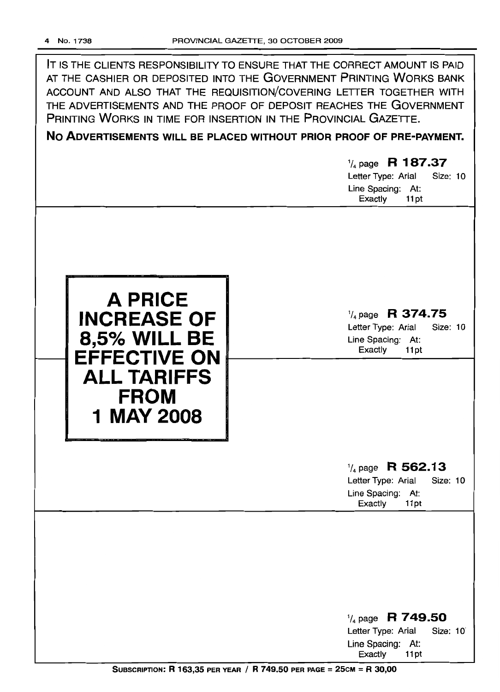| IT IS THE CLIENTS RESPONSIBILITY TO ENSURE THAT THE CORRECT AMOUNT IS PAID<br>AT THE CASHIER OR DEPOSITED INTO THE GOVERNMENT PRINTING WORKS BANK<br>ACCOUNT AND ALSO THAT THE REQUISITION/COVERING LETTER TOGETHER WITH<br>THE ADVERTISEMENTS AND THE PROOF OF DEPOSIT REACHES THE GOVERNMENT<br>PRINTING WORKS IN TIME FOR INSERTION IN THE PROVINCIAL GAZETTE.<br>NO ADVERTISEMENTS WILL BE PLACED WITHOUT PRIOR PROOF OF PRE-PAYMENT.<br>$\frac{1}{4}$ page R 187.37<br>Letter Type: Arial<br>Size: 10<br>Line Spacing: At:<br>Exactly<br>11pt |                                                                                                       |
|----------------------------------------------------------------------------------------------------------------------------------------------------------------------------------------------------------------------------------------------------------------------------------------------------------------------------------------------------------------------------------------------------------------------------------------------------------------------------------------------------------------------------------------------------|-------------------------------------------------------------------------------------------------------|
| <b>A PRICE</b><br><b>INCREASE OF</b><br><b>8,5% WILL BE</b><br><b>EFFECTIVE ON</b><br><b>ALL TARIFFS</b><br><b>FROM</b><br>1 MAY 2008                                                                                                                                                                                                                                                                                                                                                                                                              | $\frac{1}{4}$ page R 374.75<br>Size: 10<br>Letter Type: Arial<br>Line Spacing: At:<br>Exactly<br>11pt |
|                                                                                                                                                                                                                                                                                                                                                                                                                                                                                                                                                    | $\frac{1}{4}$ page R 562.13<br>Letter Type: Arial<br>Size: 10<br>Line Spacing: At:<br>Exactly<br>11pt |
|                                                                                                                                                                                                                                                                                                                                                                                                                                                                                                                                                    | $\frac{1}{4}$ page R 749.50<br>Letter Type: Arial<br>Size: 10<br>Line Spacing: At:<br>Exactly<br>11pt |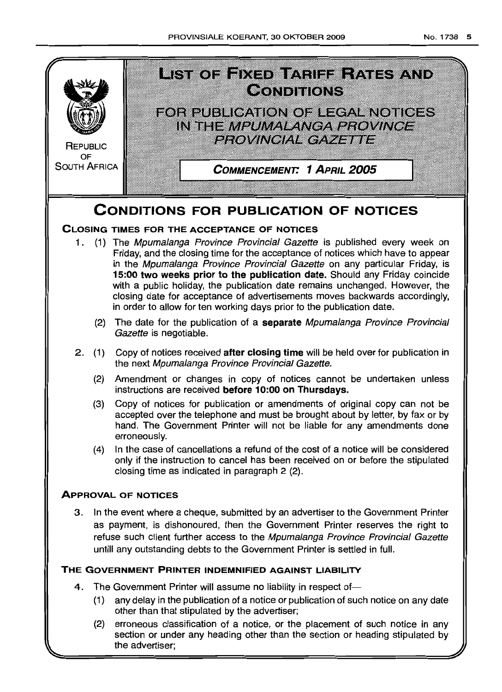

# **CONDITIONS FOR PUBLICATION OF NOTICES**

# **CLOSING TIMES FOR THE ACCEPTANCE OF NOTICES**

- 1. (1) The Mpumalanga Province Provincial Gazette is published every week on Friday, and the closing time for the acceptance of notices which have to appear in the Mpumalanga Province Provincial Gazette on any particular Friday, is **15:00 two weeks prior to the publication date.** Should any Friday coincide with a public holiday, the publication date remains unchanged. However, the closing date for acceptance of advertisements moves backwards accordingly, in order to allow for ten working days prior to the publication date.
	- (2) The date for the publication of a **separate** Mpumalanga Province Provincial Gazette is negotiable.
- 2 (1) Copy of notices received **after closing time** will be held over for publication in the next Mpumalanga Province Provincial Gazette.
	- (2) Amendment or changes in copy of notices cannot be undertaken unless instructions are received **before 10:00 on Thursdays.**
	- (3) Copy of notices for publication or amendments of original copy can not be accepted over the telephone and must be brought about by letter, by fax or by hand. The Government Printer will not be liable for any amendments done erroneously.
	- (4) In the case of cancellations a refund of the cost of a notice will be considered only if the instruction to cancel has been received on or before the stipulated closing time as indicated in paragraph 2 (2)

# **ApPROVAL OF NOTICES**

3 In the event where a cheque, submitted by an advertiser to the Government Printer as payment, is dishonoured, then the Government Printer reserves the right to refuse such client further access to the Mpumalanga Province Provincial Gazette untill any outstanding debts to the Government Printer is settled in full

# **THE GOVERNMENT PRINTER INDEMNIFIED AGAINST LIABILITY**

- 4. The Government Printer will assume no liability in respect of-
	- (1) any delay in the publication of a notice or publication of such notice on any date other than that stipulated by the advertiser;
	- (2) erroneous classification of a notice, or the placement of such notice in any section or under any heading other than the section or heading stipulated by the advertiser;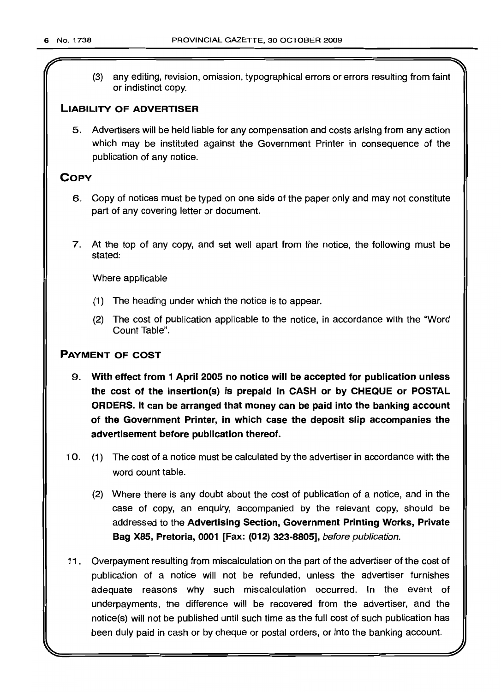(3) any editing, revision, omission, typographical errors or errors resulting from faint or indistinct copy.

# LIABILITY OF ADVERTISER

5. Advertisers will be held liable for any compensation and costs arising from any action which may be instituted against the Government Printer in consequence of the publication of any notice.

# **COPY**

- 6. Copy of notices must be typed on one side of the paper only and may not constitute part of any covering letter or document.
- 7. At the top of any copy, and set well apart from the notice, the following must be stated:

Where applicable

- (1) The heading under which the notice is to appear.
- (2) The cost of publication applicable to the notice, in accordance with the "Word Count Table".

# PAYMENT OF COST

- 9. With effect from 1 April 2005 no notice will be accepted for publication unless the cost of the insertion(s) is prepaid in CASH or by CHEQUE or POSTAL ORDERS. It can be arranged that money can be paid into the banking account of the Government Printer, in which case the deposit slip accompanies the advertisement before publication thereof.
- 10. (1) The cost of a notice must be calculated by the advertiser in accordance with the word count table.
	- (2) Where there is any doubt about the cost of publication of a notice, and in the case of copy, an enquiry, accompanied by the relevant copy, should be addressed to the Advertising Section, Government Printing Works, Private Bag X85, Pretoria, 0001 [Fax: (012) 323-8805], before publication.
- 11 . Overpayment resulting from miscalculation on the part of the advertiser of the cost of publication of a notice will not be refunded, unless the advertiser furnishes adequate reasons why such miscalculation occurred. In the event of underpayments, the difference will be recovered from the advertiser, and the notice(s) will not be published until such time as the full cost of such publication has been duly paid in cash or by cheque or postal orders, or into the banking account.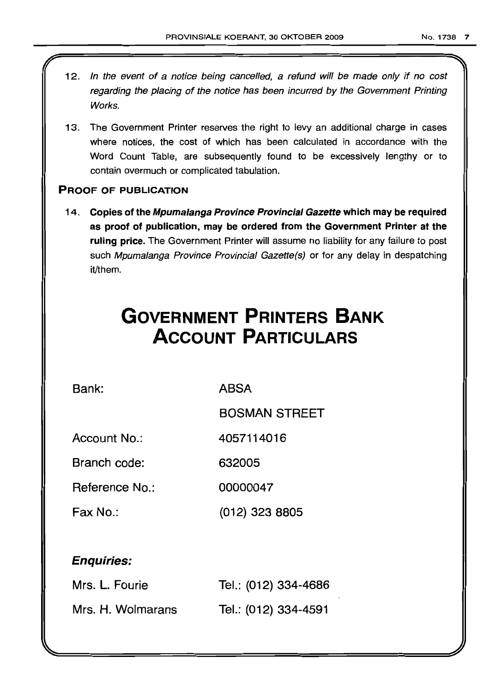- 12. In the event of a notice being cancelled, a refund will be made only if no cost regarding the placing of the notice has been incurred by the Government Printing Works.
- 13. The Government Printer reserves the right to levy an additional charge in cases where notices, the cost of which has been calculated in accordance with the Word Count Table, are subsequently found to be excessively lengthy or to contain overmuch or complicated tabulation.

# PROOF OF PUBLICATION

14. Copies of the Mpumalanga Province Provincial Gazette which may be required as proof of publication, may be ordered from the Government Printer at the ruling price. The Government Printer will assume no liability for any failure to post such Mpumalanga Province Provincial Gazette(s) or for any delay in despatching it/them.

# **GOVERNMENT PRINTERS BANK ACCOUNT PARTICULARS**

Bank: ABSA

BOSMAN STREET

Account No.: 4057114016

Branch code: 632005

Reference No.: 00000047

Fax No.: (012) 323 8805

# Enquiries:

| Mrs. L. Fourie    | Tel.: (012) 334-4686 |
|-------------------|----------------------|
| Mrs. H. Wolmarans | Tel.: (012) 334-4591 |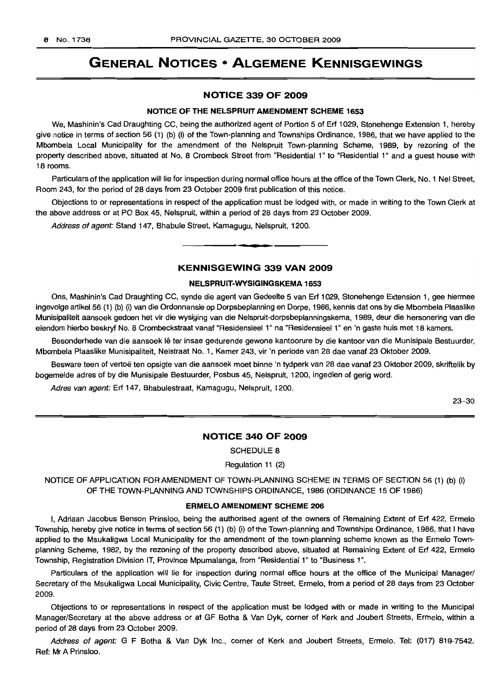# **GENERAL NOTICES • ALGEMENE KENNISGEWINGS**

### **NOTICE 339 OF 2009**

#### **NOTICE OF THE NELSPRUIT AMENDMENT SCHEME 1653**

We, Mashinin's Cad Draughting CC, being the authorized agent of Portion 5 of Erf 1029, Stonehenge Extension 1, hereby give notice in terms of section 56 (1) (b) (i) of the Town-planning and Townships Ordinance, 1986, that we have applied to the Mbombela Local Municipality for the amendment of the Nelspruit Town-planning Scheme, 1989, by rezoning of the property described above, situated at No.8 Crombeck Street from "Residential 1" to "Residential 1" and a guest house with 18 rooms.

Particulars of the application will lie for inspection during normal office hours at the office of the Town Clerk, No. 1 Nel Street, Room 243, for the period of 28 days from 23 October 2009 first publication of this notice.

Objections to or representations in respect of the application must be lodged with, or made in writing to the Town Clerk at the above address or at PO Box 45, Nelspruit, within a period of 28 days from 23 October 2009.

Address of agent: Stand 147, Bhabule Street, Kamagugu, Nelspruit, 1200.

### **KENNISGEWING 339 VAN 2009**

**•**

#### **NELSPRUIT-WYSIGINGSKEMA 1653**

Ons, Mashinin's Cad Draughting CC, synde die agent van Gedeelte 5 van Erf 1029, Stonehenge Extension 1, gee hiermee ingevolge artikel 56 (1) (b) (i) van die Ordonnansie op Dorpsbeplanning en Dorpe, 1986, kennis dat ons by die Mbombela Plaaslike Munisipaliteit aansoek gedoen het vir die wysiging van die Nelspruit-dorpsbeplanningskema, 1989, deur die hersonering van die eiendom hierbo beskryf NO.8 Crombeckstraat vanaf "Residensieel 1" na "Residensieel 1" en 'n gaste huis met 18 kamers.

Besonderhede van die aansoek lê ter insae gedurende gewone kantoorure by die kantoor van die Munisipale Bestuurder, Mbombela Plaaslike Munisipaliteit, Nelstraat No.1, Kamer 243, vir 'n periode van 28 dae vanaf 23 Oktober 2009.

Besware teen of vertoe ten opsigte van die aansoek moet binne 'n tydperk van 28 dae vanaf 23 Oktober 2009, skriftelik by bogemelde adres of by die Munisipale Bestuurder, Posbus 45, Nelspruit, 1200, ingedien of gerig word.

Adres van agent: Erf 147, Bhabulestraat, Kamagugu, Nelspruit, 1200.

23-30

#### **NOTICE 340 OF 2009**

SCHEDULE 8

Regulation 11 (2)

NOTICE OF APPLICATION FOR AMENDMENT OF TOWN-PLANNING SCHEME IN TERMS OF SECTION 56 (1) (b) (i) OF THE TOWN-PLANNING AND TOWNSHIPS ORDINANCE, 1986 (ORDINANCE 15 OF 1986)

### **ERMELO AMENDMENT SCHEME 206**

I, Adriaan Jacobus Benson Prinsloo, being the authorised agent of the owners of Remaining Extent of Erf 422, Ermelo Township, hereby give notice in terms of section 56 (1) (b) (i) of the Town-planning and Townships Ordinance, 1986, that I have applied to the Msukaligwa Local Municipality for the amendment of the town-planning scheme known as the Ermelo Townplanning Scheme, 1982, by the rezoning of the property described above, situated at Remaining Extent of Erf 422, Ermelo Township, Registration Division IT, Province Mpumalanga, from "Residential 1" to "Business 1".

Particulars of the application will lie for inspection during normal office hours at the office of the Municipal Manager/ Secretary of the Msukaligwa Local Municipality, Civic Centre, Taute Street, Ermelo, from a period of 28 days from 23 October 2009.

Objections to or representations in respect of the application must be lodged with or made in writing to the Municipal Manager/Secretary at the above address or at GF Botha & Van Dyk, corner of Kerk and Joubert Streets, Ermelo, within a period of 28 days from 23 October 2009.

Address of agent: G F Botha & Van Dyk Inc., corner of Kerk and Joubert Streets, Ermelo. Tel: (017) 819-7542. Ref: Mr A Prinsloo.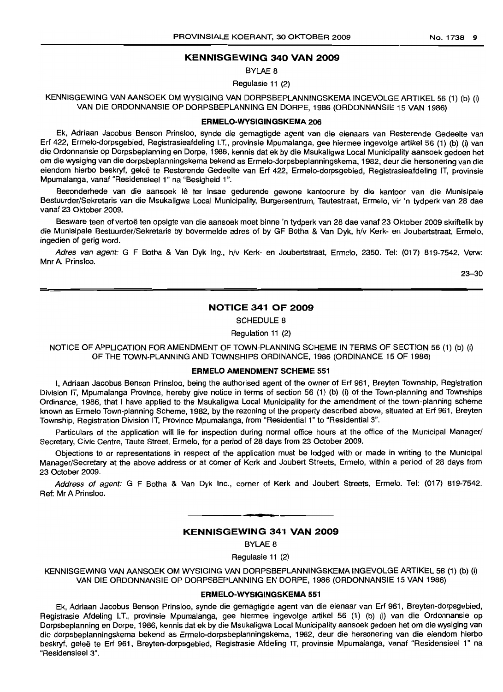### **KENNISGEWING 340 VAN 2009**

BYLAE 8

Regulasie 11 (2)

KENNISGEWING VAN AANSOEK OM WYSIGING VAN DORPSBEPLANNINGSKEMA INGEVOLGE ARTIKEL 56 (1) (b) (i) VAN DIE ORDONNANSIE OP DORPSBEPLANNING EN DORPE, 1986 (ORDONNANSIE 15 VAN 1986)

#### **ERMELO-WYSIGINGSKEMA 206**

Ek, Adriaan Jacobus Benson Prinsloo, synde die gemagtigde agent van die eienaars van Resterende Gedeelte van Erf 422, Ermelo-dorpsgebied, Registrasieafdeling I.T., provinsie Mpumalanga, gee hiermee ingevolge artikel 56 (1) (b) (i) van die Ordonnansie op Dorpsbeplanning en Dorpe, 1986, kennis dat ek by die Msukaligwa Local Municipality aansoek gedoen het om die wysiging van die dorpsbeplanningskema bekend as Ermelo-dorpsbeplanningskema, 1982, deur die hersonering van die eiendom hierbo beskryf, gelee te Resterende Gedeelte van Erf 422, Ermelo-dorpsgebied, Registrasieafdeling IT, provinsie Mpumalanga, vanaf "Residensieel 1" na "Besigheid 1".

Besonderhede van die aansoek lê ter insae gedurende gewone kantoorure by die kantoor van die Munisipale Bestuurder/Sekretaris van die Msukaligwa Local Municipality, Burgersentrum, Tautestraat, Ermelo, vir 'n tydperk van 28 dae vanaf 23 Oktober 2009.

Besware teen of vertoë ten opsigte van die aansoek moet binne 'n tydperk van 28 dae vanaf 23 Oktober 2009 skriftelik by die Munisipale Bestuurder/Sekretaris by bovermelde adres of by GF Botha & Van Dyk, h/v Kerk- en Joubertstraat, Ermelo, ingedien of gerig word.

Adres van agent: G F Botha & Van Dyk Ing., h/v Kerk- en Joubertstraat, Ermelo, 2350. Tel: (017) 819-7542. Verw: Mnr A. Prinsloo.

23-30

### **NOTICE 341 OF 2009**

SCHEDULE 8

Regulation 11 (2)

NOTICE OF APPLICATION FOR AMENDMENT OF TOWN-PLANNING SCHEME IN TERMS OF SECTION 56 (1) (b) (i) OF THE TOWN-PLANNING AND TOWNSHIPS ORDINANCE, 1986 (ORDINANCE 15 OF 1986)

### **ERMELO AMENDMENT SCHEME 551**

I, Adriaan Jacobus Benson Prinsloo, being the authorised agent of the owner of Erf 961, Breyten Township, Registration Division IT, Mpumalanga Province, hereby give notice in terms of section 56 (1) (b) (i) of the Town-planning and Townships Ordinance, 1986, that I have applied to the Msukaligwa Local Municipality for the amendment of the town-planning scheme known as Ermelo Town-planning Scheme, 1982, by the rezoning of the property described above, situated at Erf 961, Breyten Township, Registration Division IT, Province Mpumalanga, from "Residential 1" to "Residential 3".

Particulars of the application will lie for inspection during normal office hours at the office of the Municipal Manager/ Secretary, Civic Centre, Taute Street, Ermelo, for a period of 28 days from 23 October 2009.

Objections to or representations in respect of the application must be lodged with or made in writing to the Municipal Manager/Secretary at the above address or at corner of Kerk and Joubert Streets, Ermelo, within a period of 28 days from 23 October 2009.

Address of agent: G F Botha & Van Dyk Inc., corner of Kerk and Joubert Streets, Ermelo. Tel: (017) 819-7542. Ref: Mr A Prinsloo.

#### **KENNISGEWING 341 VAN 2009**

.**-.**

BYLAE 8

Regulasie 11 (2)

KENNISGEWING VAN MNSOEK OM WYSIGING VAN DORPSBEPLANNINGSKEMA INGEVOLGE ARTIKEL 56 (1) (b) (i) VAN DIE ORDONNANSIE OP DORPSBEPLANNING EN DORPE, 1986 (ORDONNANSIE 15 VAN 1986)

#### **ERMELO-WYSIGINGSKEMA 551**

Ek, Adriaan Jacobus Benson Prinsloo, synde die gemagtigde agent van die eienaar van Erf 961, Breyten-dorpsgebied, Registrasie Afdeling I.T., provinsie Mpumalanga, gee hiermee ingevolge artikel 56 (1) (b) (i) van die Ordonnansie op Dorpsbeplanning en Dorpe, 1986, kennis dat ek by die Msukaligwa Local Municipality aansoek gedoen het om die wysiging van die dorpsbeplanningskema bekend as Ermelo-dorpsbeplanningskema, 1982, deur die hersonering van die eiendom hierbo beskryf, geleë te Erf 961, Breyten-dorpsgebied, Registrasie Afdeling IT, provinsie Mpumalanga, vanaf "Residensieel 1" na "ResidensieeI3".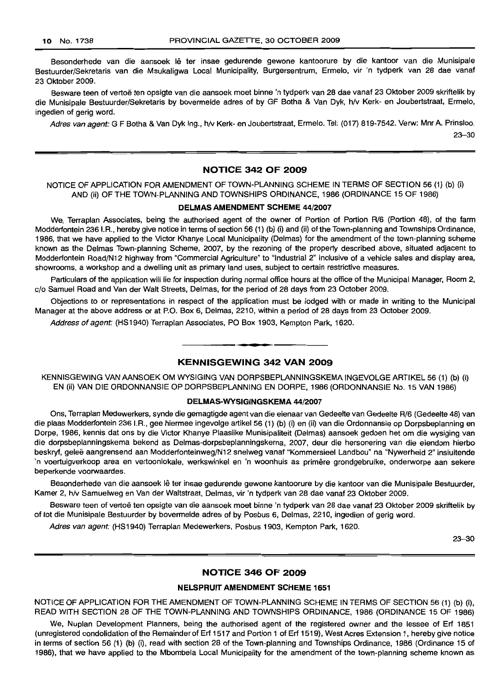Besonderhede van die aansoek lê ter insae gedurende gewone kantoorure by die kantoor van die Munisipale Bestuurder/Sekretaris van die Msukaligwa Local Municipality, Burgersentrum, Ermelo, vir 'n tydperk van 28 dae vanaf 23 Oktober 2009.

Besware teen of vertoë ten opsigte van die aansoek moet binne 'n tydperk van 28 dae vanaf 23 Oktober 2009 skriftelik by die Munisipale Bestuurder/Sekretaris by bovermelde adres of by GF Botha & Van Dyk, h/v Kerk- en Joubertstraat, Ermelo, ingedien of gerig word.

Adres van agent: G F Botha & Van Dyk Ing., h/v Kerk- en Joubertstraat, Ermelo. Tel: (017) 819-7542. Verw: Mnr A. Prinsloo.

23-30

# NOTICE 342 OF 2009

NOTICE OF APPLICATION FOR AMENDMENT OF TOWN-PLANNING SCHEME IN TERMS OF SECTION 56 (1) (b) (i) AND (ii) OF THE TOWN-PLANNING AND TOWNSHIPS ORDINANCE, 1986 (ORDINANCE 15 OF 1986)

#### DELMAS AMENDMENT SCHEME 44/2007

We, Terraplan Associates, being the authorised agent of the owner of Portion of Portion R/6 (Portion 48), of the farm Modderfontein 236 I.R., hereby give notice in terms of section 56 (1) (b) (i) and (ii) ofthe Town-planning and Townships Ordinance, 1986, that we have applied to the Victor Khanye Local Municipality (Delmas) for the amendment of the town-planning scheme known as the Delmas Town-planning Scheme, 2007, by the rezoning of the property described above, situated adjacent to Modderfontein Road/N12 highway from "Commercial Agriculture" to "Industrial 2" inclusive of a vehicle sales and display area, showrooms, a workshop and a dwelling unit as primary land uses, subject to certain restrictive measures.

Particulars of the application will lie for inspection during normal office hours at the office of the Municipal Manager, Room 2, c/o Samuel Road and Van der Walt Streets, Delmas, for the period of 28 days from 23 October 2009.

Objections to or representations in respect of the application must be lodged with or made in writing to the Municipal Manager at the above address or at P.O. Box 6, Delmas, 2210, within a period of 28 days from 23 October 2009.

Address of agent: (HS1940) Terraplan Associates, PO Box 1903, Kempton Park, 1620.

#### KENNISGEWING 342 VAN 2009

**- .**

KENNISGEWING VAN AANSOEK OM WYSIGING VAN DORPSBEPLANNINGSKEMA INGEVOLGE ARTIKEL 56 (1) (b) (i) EN (ii) VAN DIE ORDONNANSIE OP DORPSBEPLANNING EN DORPE, 1986 (ORDONNANSIE No. 15 VAN 1986)

### DELMAS-WYSIGINGSKEMA 44/2007

Ons, Terraplan Medewerkers, synde die gemagtigde agent van die eienaar van Gedeelte van Gedeelte R/6 (Gedeelte 48) van die plaas Modderfontein 236 I.R., gee hiermee ingevolge artikel 56 (1) (b) (i) en (ii) van die Ordonnansie op Dorpsbeplanning en Dorpe, 1986, kennis dat ons by die Victor Khanye Plaaslike Munisipaliteit (Delmas) aansoek gedoen het om die wysiging van die dorpsbeplanningskema bekend as Delmas-dorpsbeplanningskema, 2007, deur die hersonering van die eiendom hierbo beskryf, gelee aangrensend aan Modderfonteinweg/N12 snelweg vanaf "Kommersieel Landbou" na "Nywerheid 2" insluitende 'n voertuigverkoop area en vertoonlokale, werkswinkel en 'n woonhuis as primêre grondgebruike, onderworpe aan sekere beperkende voorwaardes.

Besonderhede van die aansoek lê ter insae gedurende gewone kantoorure by die kantoor van die Munisipale Bestuurder, Kamer 2, h/v Samuelweg en Van der Waltstraat, Delmas, vir 'n tydperk van 28 dae vanaf 23 Oktober 2009.

Besware teen of vertoë ten opsigte van die aansoek moet binne 'n tydperk van 28 dae vanaf 23 Oktober 2009 skriftelik by of tot die Munisipale Bestuurder by bovermelde adres of by Posbus 6, Delmas, 2210, ingedien of gerig word.

Adres van agent: (HS1940) Terraplan Medewerkers, Posbus 1903, Kempton Park, 1620.

23-30

#### NOTICE 346 OF 2009

#### NELSPRUIT AMENDMENT SCHEME 1651

NOTICE OF APPLICATION FOR THE AMENDMENT OF TOWN-PLANNING SCHEME IN TERMS OF SECTION 56 (1) (b) (i), READ WITH SECTION 28 OF THE TOWN-PLANNING AND TOWNSHIPS ORDINANCE, 1986 (ORDINANCE 15 OF 1986)

We, Nuplan Development Planners, being the authorised agent of the registered owner and the lessee of Erf 1851 (unregistered condolidation of the Remainder of Erf 1517 and Portion 1 of Erf 1519), West Acres Extension 1, hereby give notice in terms of section 56 (1) (b) (i), read with section 28 of the Town-planning and Townships Ordinance, 1986 (Ordinance 15 of 1986), that we have applied to the Mbombela Local Municipality for the amendment of the town-planning scheme known as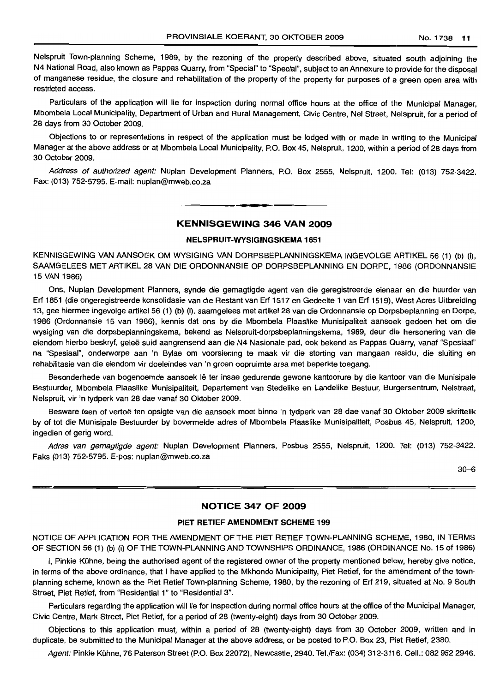Nelspruit Town-planning Scheme, 1989, by the rezoning of the property described above, situated south adjoining the N4 National Road, also known as Pappas Quarry, from "Special" to "Special", subject to an Annexure to provide for the disposal of manganese residue, the closure and rehabilitation of the property of the property for purposes of a green open area with restricted access.

Particulars of the application will lie for inspection during normal office hours at the office of the Municipal Manager, Mbombela Local Municipality, Department of Urban and Rural Management, Civic Centre, Nel Street, Nelspruit. for a period of 28 days from 30 October 2009.

Objections to or representations in respect of the application must be lodged with or made in writing to the Municipal Manager at the above address or at Mbombela Local Municipality, P.O. Box 45, Nelspruit, 1200, within a period of 28 days from 30 October 2009.

Address of authorized agent: Nuplan Development Planners, P.O. Box 2555, Nelspruit, 1200. Tel: (013) 752-3422. Fax: (013) 752-5795. E-mail: nuplan@mweb.co.za

# **• KENNISGEWING 346 VAN 2009**

#### **NELSPRlIIT-WYSIGINGSKEMA 1651**

KENNISGEWING VAN AANSOEK OM WYSIGING VAN DORPSBEPLANNINGSKEMA INGEVOLGE ARTIKEL 56 (1) (b) (i), SAAMGELEES MET ARTIKEL 28 VAN DIE ORDONNANSIE OP DORPSBEPLANNING EN DORPE, 1986 (ORDONNANSIE 15 VAN 1986)

Ons, Nuplan Development Planners, synde die gemagtigde agent van die geregistreerde eienaar en die huurder van Erf 1851 (die ongeregistreerde konsolidasie van die Restant van Erf 1517 en Gedeelte 1 van Erf 1519), West Acres Uitbreiding 13, gee hiermee ingevolge artikel56 (1) (b) (i), saamgelees met artikel28 van die Ordonnansie op Dorpsbeplanning en Dorpe, 1986 (Ordonnansie 15 van 1986), kennis dat ons by die Mbombela Plaaslike Munisipaliteit aansoek gedoen het om die wysiging van die dorpsbeplanningskema, bekend as Nelspruit-dorpsbeplanningskema, 1989, deur die hersonering van die eiendom hierbo beskryf, geleë suid aangrensend aan die N4 Nasionale pad, ook bekend as Pappas Quarry, vanaf "Spesiaal" na "Spesiaal", onderworpe aan 'n Bylae om voorsiening te maak vir die storting van mangaan residu, die sluiting en rehabilitasie van die eiendom vir doeleindes van 'n groen oopruimte area met beperkte toegang.

Besonderhede van bogenoemde aansoek lê ter insae gedurende gewone kantoorure by die kantoor van die Munisipale Bestuurder, Mbombela Plaaslike Munisipaliteit, Departement van Stedelike en Landelike Bestuur, Burgersentrum, Nelstraat, Nelspruit, vir 'n tydperk van 28 dae vanaf 30 Oktober 2009.

Besware teen of vertoë ten opsigte van die aansoek moet binne 'n tydperk van 28 dae vanaf 30 Oktober 2009 skriftelik by of tot die Munisipale Bestuurder by bovermelde adres of Mbombela Plaaslike Munisipaliteit, Posbus 45, Nelspruit, 1200, ingedien of gerig word.

Adres van gemagtigde agent: Nuplan Development Planners, Posbus 2555, Nelspruit, 1200. Tel: (013) 752-3422. Faks (013) 752-5795. E-pos: nuplan@mweb.co.za

30-6

# **NOTICE 347 OF 2009**

#### **PIET RETIEF AMENDMENT SCHEME 199**

NOTICE OF APPLICATION FOR THE AMENDMENT OF THE PIET RETIEF TOWN-PLANNING SCHEME, 1980, IN TERMS OF SECTION 56 (1) (b) (i) OF THE TOWN-PLANNING AND TOWNSHIPS ORDINANCE, 1986 (ORDINANCE No. 15 of 1986)

I, Pinkie Kuhne, being the authorised agent of the registered owner of the property mentioned below, hereby give notice, in terms of the above ordinance, that I have applied to the Mkhondo Municipality, Piet Retief, for the amendment of the townplanning scheme, known as the Piet Retief Town-planning Scheme, 1980, by the rezoning of Erf 219, situated at No.9 South Street, Piet Retief, from "Residential 1" to "Residential 3".

Particulars regarding the application will lie for inspection during normal office hours at the office of the Municipal Manager, Civic Centre, Mark Street, Piet Retief, for a period of 28 (twenty-eight) days from 30 October 2009.

Objections to this application must, within a period of 28 (twenty-eight) days from 30 October 2009, written and in duplicate. be submitted to the Municipal Manager at the above address, or be posted to P.O. Box 23, Piet Retief, 2380.

Agent: Pinkie Kuhne, 76 Paterson Street (P.O. Box 22072), Newcastle, 2940. Tel./Fax: (034) 312-3116. Cell.: 082 952 2946.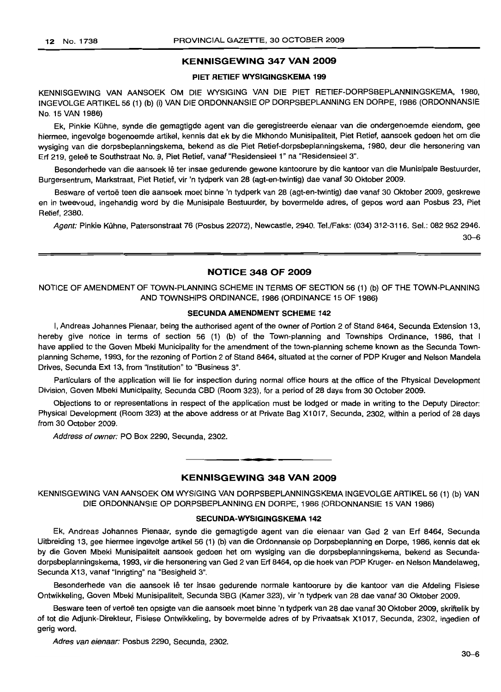# **KENNISGEWING 347 VAN 2009**

#### **PIET RETIEF WYSIGINGSKEMA 199**

KENNISGEWING VAN AANSOEK OM DIE WYSIGING VAN DIE PIET RETIEF-DORPSBEPLANNINGSKEMA, 1980, INGEVOLGE ARTIKEL 56 (1) (b) (i) VAN DIE ORDONNANSIE OP DORPSBEPLANNING EN DORPE, 1986 (ORDONNANSIE No. 15 VAN 1986)

Ek, Pinkie Kuhne, synde die gemagtigde agent van die geregistreerde eienaar van die ondergenoemde eiendom, gee hiermee, ingevolge bogenoemde artikel, kennis dat ek by die Mkhondo Munisipaliteit, Piet Retief, aansoek gedoen het om die wysiging van die dorpsbeplanningskema, bekend as die Piet Retief-dorpsbeplanningskema, 1980, deur die hersonering van Erf 219, geleë te Southstraat No. 9, Piet Retief, vanaf "Residensieel 1" na "Residensieel 3".

Besonderhede van die aansoek lê ter insae gedurende gewone kantoorure by die kantoor van die Munisipale Bestuurder, Burgersentrum, Markstraat, Piet Retief, vir 'n tydperk van 28 (agt-en-twintig) dae vanaf 30 Oktober 2009.

Besware of vertoë teen die aansoek moet binne 'n tydperk van 28 (agt-en-twintig) dae vanaf 30 Oktober 2009, geskrewe en in tweevoud, ingehandig word by die Munisipale Bestuurder, by bovermelde adres, of gepos word aan Posbus 23, Piet Retief, 2380.

Agent: Pinkie Kühne, Patersonstraat 76 (Posbus 22072), Newcastle, 2940. Tel./Faks: (034) 312-3116. Sel.: 082 952 2946.

 $30 - 6$ 

### **NOTICE 348 OF 2009**

NOTICE OF AMENDMENT OF TOWN-PLANNING SCHEME IN TERMS OF SECTION 56 (1) (b) OF THE TOWN-PLANNING AND TOWNSHIPS ORDINANCE, 1986 (ORDINANCE 15 OF 1986)

#### SECUNDA AMENDMENT **SCHEME 142**

I, Andreas Johannes Pienaar, being the authorised agent of the owner of Portion 2 of Stand 8464, Secunda Extension 13, hereby give notice in terms of section 56 (1) (b) of the Town-planning and Townships Ordinance, 1986, that I have applied to the Goven Mbeki Municipality for the amendment of the town-planning scheme known as the Secunda Townplanning Scheme, 1993, for the rezoning of Portion 2 of Stand 8464, situated at the corner of PDP Kruger and Nelson Mandela Drives, Secunda Ext 13, from "Institution" to "Business 3",

Particulars of the application will lie for inspection during normal office hours at the office of the Physical Development Division, Goven Mbeki Municipality, Secunda CBD (Room 323), for a period of 28 days from 30 October 2009.

Objections to or representations in respect of the application must be lodged or made in writing to the Deputy Director: Physical Development (Room 323) at the above address or at Private Bag X1017, Secunda, 2302, within a period of 28 days from 30 October 2009.

Address of owner: PO Box 2290, Secunda, 2302.

#### **KENNISGEWING 348 VAN 2009**

**. -**

KENNISGEWING VAN AANSOEK OM WYSIGING VAN DORPSBEPLANNINGSKEMA INGEVOLGE ARTIKEL 56 (1) (b) VAN DIE ORDONNANSIE OP DORPSBEPLANNING EN DORPE, 1986 (ORDONNANSIE 15 VAN 1986)

#### **SECUNDA-WYSIGINGSKEMA 142**

Ek, Andreas Johannes Pienaar, synde die gemagtigde agent van die eienaar van Ged 2 van Erf 8464, Secunda Uitbreiding 13, gee hiermee ingevolge artikel 56 (1) (b) van die Ordonnansie op Dorpsbeplanning en Dorpe, 1986, kennis dat ek by die Goven Mbeki Munisipaliteit aansoek gedoen het om wysiging van die dorpsbeplanningskema, bekend as Secundadorpsbeplanningskema, 1993, vir die hersonering van Ged 2 van Erf 8464, op die hoek van PDP Kruger- en Nelson Mandelaweg, Secunda X13, vanaf "Inrigting" na "Besigheid 3".

Besonderhede van die aansoek lê ter insae gedurende normale kantoorure by die kantoor van die Afdeling Fisiese Ontwikkeling, Goven Mbeki Munisipaliteit, Secunda SBG (Kamer 323), vir 'n tydperk van 28 dae vanaf 30 Oktober 2009.

Besware teen of vertoë ten opsigte van die aansoek moet binne 'n tydperk van 28 dae vanaf 30 Oktober 2009, skriftelik by of tot die Adjunk-Direkteur, Fisiese Ontwikkeling, by bovermelde adres of by Privaatsak X1017, Secunda, 2302, ingedien of gerig word.

Adres van eienaar: Posbus 2290, Secunda, 2302.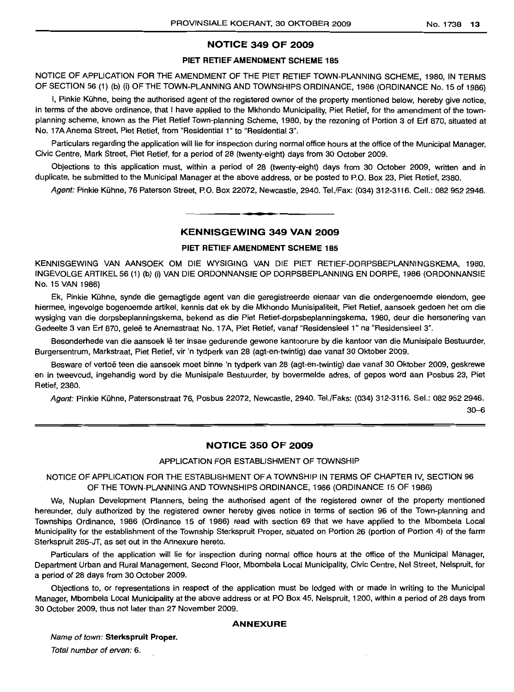# **NOTICE 349 OF 2009**

#### **PIET RETIEFAMENDMENT SCHEME 185**

NOTICE OF APPLICATION FOR THE AMENDMENT OF THE PIET RETIEF TOWN-PLANNING SCHEME, 1980, IN TERMS OF SECTION 56 (1) (b) (i) OF THE TOWN-PLANNING AND TOWNSHIPS ORDINANCE, 1986 (ORDINANCE No. 15 of 1986)

I, Pinkie Kuhne, being the authorised agent of the registered owner of the property mentioned below, hereby give notice, in terms of the above ordinance, that I have applied to the Mkhondo Municipality, Piet Retief, for the amendment of the townplanning scheme, known as the Piet Retief Town-planning Scheme, 1980, by the rezoning of Portion 3 of Erf 870, situated at No. 17A Anema Street, Piet Retief, from "Residential 1" to "Residential 3".

Particulars regarding the application will lie for inspection during normal office hours at the office of the Municipal Manager, Civic Centre, Mark Street, Piet Retief, for a period of 28 (twenty-eight) days from 30 October 2009.

Objections to this application must, within a period of 28 (twenty-eight) days from 30 October 2009, written and in duplicate, be submitted to the Municipal Manager at the above address, or be posted to P.O. Box 23, Piet Retief, 2380.

Agent: Pinkie Kuhne, 76 Paterson Street, P.O. Box 22072, Newcastle, 2940. Tel./Fax: (034) 312-3116. Cell.: 0829522946.

# **• KENNISGEWING 349 VAN 2009**

#### **PIET RETIEF AMENDMENT SCHEME 185**

KENNISGEWING VAN AANSOEK OM DIE WYSIGING VAN DIE PIET RETIEF-DORPSBEPLANNINGSKEMA, 1980, INGEVOLGEARTIKEL56 (1) (b) (i) VAN DIE ORDONNANSIE OP DORPSBEPLANNING EN DORPE, 1986 (ORDONNANSIE No. 15 VAN 1986)

Ek, Pinkie Kuhne, synde die gemagtigde agent van die geregistreerde eienaar van die ondergenoemde eiendom, gee hiermee, ingevolge bogenoemde artikel, kennis dat ek by die Mkhondo Munisipaliteit, Piet Retief, aansoek gedoen het om die wysiging van die dorpsbeplanningskema, bekend as die Piet Retief-dorpsbeplanningskema, 1980, deur die hersonering van Gedeelte 3 van Erf 870, gelee te Anemastraat No. 17A, Piet Retief, vanaf "Residensieel 1" na "Residensieel 3".

Besonderhede van die aansoek lê ter insae gedurende gewone kantoorure by die kantoor van die Munisipale Bestuurder, Burgersentrum, Markstraat, Piet Retief, vir 'n tydperk van 28 (agt-en-twintig) dae vanaf 30 Oktober 2009.

Besware of vertoë teen die aansoek moet binne 'n tydperk van 28 (agt-en-twintig) dae vanaf 30 Oktober 2009, geskrewe en in tweevoud, ingehandig word by die Munisipale Bestuurder, by bovermelde adres, of gepos word aan Posbus 23, Piet Retief, 2380.

Agent: Pinkie Kühne, Patersonstraat 76, Posbus 22072, Newcastle, 2940. Tel./Faks: (034) 312-3116. Sel.: 082 952 2946.

30-6

## **NOTICE 350 OF 2009**

#### APPLICATION FOR ESTABLISHMENT OF TOWNSHIP

NOTICE OF APPLICATION FOR THE ESTABLISHMENT OF A TOWNSHIP IN TERMS OF CHAPTER IV, SECTION 96 OF THE TOWN-PLANNING AND TOWNSHIPS ORDINANCE, 1986 (ORDINANCE 15 OF 1986)

We, Nuplan Development Planners, being the authorised agent of the registered owner of the property mentioned hereunder, duly authorized by the registered owner hereby gives notice in terms of section 96 of the Town-planning and Townships Ordinance, 1986 (Ordinance 15 of 1986) read with section 69 that we have applied to the Mbombela Local Municipality for the establishment of the Township Sterkspruit Proper, situated on Portion 26 (portion of Portion 4) of the farm Sterkspruit 285-JT, as set out in the Annexure hereto.

Particulars of the application will lie for inspection during normal office hours at the office of the Municipal Manager, Department Urban and Rural Management, Second Floor, Mbombela Local Municipality, Civic Centre, Nel Street, Nelspruit, for a period of 28 days from 30 October 2009.

Objections to, or representations in respect of the application must be lodged with or made in writing to the Municipal Manager, Mbombela Local Municipality at the above address or at PO Box 45, Nelspruit, 1200, within a period of 28 days from 30 October 2009, thus not later than 27 November 2009.

#### **ANNEXURE**

Name of town: **Sterkspruit Proper.** Total number of erven: 6.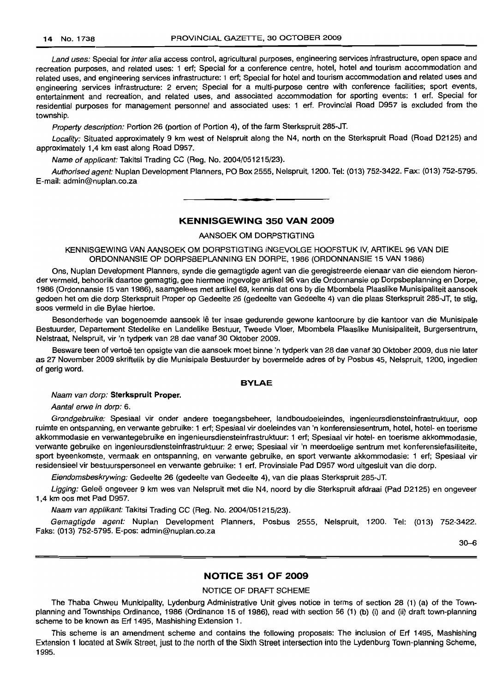Land uses: Special for inter alia access control, agricultural purposes, engineering services infrastructure, open space and recreation purposes, and related uses: 1 ert; Special for a conference centre, hotel, hotel and tourism accommodation and related uses, and engineering services infrastructure: 1 ert; Special for hotel and tourism accommodation and related uses and engineering services infrastructure: 2 erven; Special for a multi-purpose centre with conference facilities; sport events, entertainment and recreation, and related uses, and associated accommodation for sporting events: 1 ert. Special for residential purposes for management personnel and associated uses: 1 ert. Provincial Road D957 is excluded from the township.

Property description: Portion 26 (portion of Portion 4), of the farm Sterkspruit 285-JT.

Locality: Situated approximately 9 km west of Nelspruit along the N4, north on the Sterkspruit Road (Road D2125) and approximately 1,4 km east along Road D957.

Name of applicant: Takitsi Trading CC (Reg. No. 2004/051215/23).

Authorised agent: Nuplan Development Planners, PO Box 2555, Nelspruit, 1200. Tel: (013) 752-3422. Fax: (013) 752-5795. E-mail: admin@nuplan.co.za

**.-**

#### **KENNISGEWING 350 VAN 2009**

AANSOEK OM DORPSTIGTING

KENNISGEWING VAN AANSOEK OM DORPSTIGTING INGEVOLGE HOOFSTUK IV, ARTIKEL 96 VAN DIE ORDONNANSIE OP DORPSBEPLANNING EN DORPE, 1986 (ORDONNANSIE 15 VAN 1986)

Ons, Nuplan Development Planners, synde die gemagtigde agent van die geregistreerde eienaar van die eiendom hieronder vermeld, behoorlik daartoe gemagtig, gee hiermee ingevolge artikel 96 van die Ordonnansie op Dorpsbeplanning en Dorpe, 1986 (Ordonnansie 15 van 1986), saamgelees met artikel 69, kennis dat ons by die Mbombela Plaaslike Munisipaliteit aansoek gedoen het om die dorp Sterkspruit Proper op Gedeelte 26 (gedeelte van Gedeelte 4) van die plaas Sterkspruit 285-JT, te stig, soos vermeld in die Bylae hiertoe.

Besonderhede van bogenoemde aansoek lê ter insae gedurende gewone kantoorure by die kantoor van die Munisipale Bestuurder, Departement Stedelike en Landelike Bestuur, Tweede Vloer, Mbombela Plaaslike Munisipaliteit, Burgersentrum, Nelstraat, Nelspruit, vir 'n tydperk van 28 dae vanaf 30 Oktober 2009.

Besware teen of vertoë ten opsigte van die aansoek moet binne 'n tydperk van 28 dae vanaf 30 Oktober 2009, dus nie later as 27 November 2009 skriftelik by die Munisipale Bestuurder by bovermelde adres of by Posbus 45, Nelspruit, 1200, ingedien of gerig word.

#### **BYLAE**

#### Naam van dorp: **Sterkspruit Proper.**

Aantal erwe in dorp: 6.

Grondgebruike: Spesiaal vir onder andere toegangsbeheer, landboudoeleindes, ingenieursdiensteinfrastruktuur, oop ruimte en ontspanning, en verwante gebruike: 1 ert; Spesiaal vir doeleindes van 'n konferensiesentrum, hotel, hotel- en toerisme akkommodasie en verwantegebruike en ingenieursdiensteinfrastruktuur: 1 ert; Spesiaal vir hotel- en toerisme akkommodasie, verwante gebruike en ingenieursdiensteinfrastruktuur: 2 erwe; Spesiaal vir 'n meerdoelige sentrum met konferensiefasiliteite, sport byeenkomste, vermaak en ontspanning, en verwante gebruike, en sport verwante akkommodasie: 1 ert; Spesiaal vir residensieel vir bestuurspersoneel en verwante gebruike: 1 ert. Provinsiale Pad D957 word uitgesluit van die dorp.

Eiendomsbeskrywing: Gedeelte 26 (gedeelte van Gedeelte 4), van die plaas Sterkspruit 285-JT.

Ligging: Geleë ongeveer 9 km wes van Nelspruit met die N4, noord by die Sterkspruit afdraai (Pad D2125) en ongeveer 1,4 km 005 met Pad D957.

Naam van applikant: Takitsi Trading CC (Reg. No. 2004/051215/23).

Gemagtigde agent: Nuplan Development Planners, Posbus 2555, Nelspruit, 1200. Tel: (013) 752-3422. Faks: (013) 752-5795. E-pos: admin@nuplan.co.za

30-6

### **NOTICE 351 OF 2009**

#### NOTICE OF DRAFT SCHEME

The Thaba Chweu Municipality, Lydenburg Administrative Unit gives notice in terms of section 28 (1) (a) of the Townplanning and Townships Ordinance, 1986 (Ordinance 15 of 1986), read with section 56 (1) (b) (i) and (ii) draft town-planning scheme to be known as Ert 1495, Mashishing Extension 1.

This scheme is an amendment scheme and contains the following proposals: The inclusion of Ert 1495, Mashishing Extension 1 located at Swik Street, just to the north of the Sixth Street intersection into the Lydenburg Town-planning Scheme, 1995.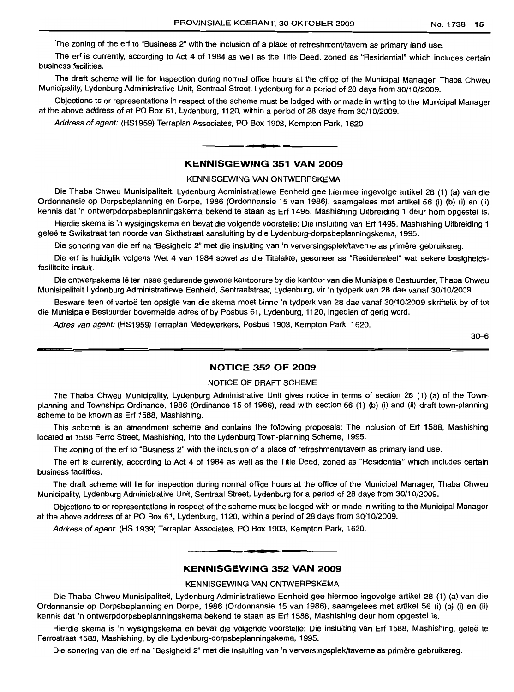The zoning of the erf to "Business 2" with the inclusion of a place of refreshment/tavern as primary land use.

The erf is currently, according to Act 4 of 1984 as well as the Title Deed, zoned as "Residential" which includes certain business facilities.

The draft scheme will lie for inspection during normal office hours at the office of the Municipal Manager, Thaba Chweu Municipality, Lydenburg Administrative Unit, Sentraal Street, Lydenburg for a period of 28 days from 30/10/2009.

Objections to or representations in respect of the scheme must be lodged with or made in writing to the Municipal Manager at the above address of at PO Box 61, Lydenburg, 1120, within a period of 28 days from 30/10/2009.

Address of agent: (HS1959) Terraplan Associates, PO Box 1903, Kempton Park, 1620

### **KENNISGEWING 351 VAN 2009**

**•**

#### KENNISGEWING VAN ONTWERPSKEMA

Die Thaba Chweu Munisipaliteit, Lydenburg Administratiewe Eenheid gee hiermee ingevolge artikel 28 (1) (a) van die Ordonnansie op Dorpsbeplanning en Dorpe, 1986 (Ordonnansie 15 van 1986), saamgelees met artikel 56 (i) (b) (i) en (ii) kennis dat 'n ontwerpdorpsbeplanningskema bekend te staan as Erf 1495, Mashishing Uitbreiding 1 deur hom opgestel is.

Hierdie skema is 'n wysigingskema en bevat die volgende voorstelle: Die insluiting van Erf 1495, Mashishing Uitbreiding 1 geleë te Swikstraat ten noorde van Sixthstraat aansluiting by die Lydenburg-dorpsbeplanningskema, 1995.

Die sonering van die erf na "Besigheid 2" met die insluiting van 'n verversingsplek/taverne as primêre gebruiksreg.

Die erf is huidiglik volgens Wet 4 van 1984 sowel as die Titelakte, gesoneer as "Residensieel" wat sekere besigheidsfasiliteite insluit.

Die ontwerpskema Ie ter insae gedurende gewone kantoorure by die kantoor van die Munisipale Bestuurder, Thaba Chweu Munisipaliteit Lydenburg Administratiewe Eenheid, Sentraalstraat, Lydenburg, vir 'n tydperk van 28 dae vanaf 30/10/2009.

Besware teen of vertoe ten opsigte van die skema moet binne 'n tydperk van 28 dae vanaf 30/10/2009 skriftelik by of tot die Munisipale Bestuurder bovermelde adres of by Posbus 61, Lydenburg, 1120, ingedien of gerig word.

Adres van agent: (HS1959) Terraplan Medewerkers, Posbus 1903, Kempton Park, 1620.

30-6

#### **NOTICE 352 OF 2009**

### NOTICE OF DRAFT SCHEME

The Thaba Chweu Municipality, Lydenburg Administrative Unit gives notice in terms of section 28 (1) (a) of the Townplanning and Townships Ordinance, 1986 (Ordinance 15 of 1986), read with section 56 (1) (b) (i) and (ii) draft town-planning scheme to be known as Erf 1588, Mashishing.

This scheme is an amendment scheme and contains the following proposals: The inclusion of Erf 1588, Mashishing located at 1588 Ferro Street, Mashishing, into the Lydenburg Town-planning Scheme, 1995.

The zoning of the erf to "Business 2" with the inclusion of a place of refreshment/tavern as primary land use.

The erf is currently, according to Act 4 of 1984 as well as the Title Deed, zoned as "Residential" which includes certain business facilities.

The draft scheme will lie for inspection during normal office hours at the office of the Municipal Manager, Thaba Chweu Municipality, Lydenburg Administrative Unit, Sentraal Street, Lydenburg for a period of 28 days from 30/10/2009.

Objections to or representations in respect of the scheme must be lodged with or made in writing to the Municipal Manager at the above address of at PO Box 61, Lydenburg, 1120, within a period of 28 days from 30/10/2009.

Address of agent: (HS 1939) Terraplan Associates, PO Box 1903, Kempton Park, 1620.

# **KENNISGEWING 352 VAN 2009**

**• •**

#### KENNISGEWING VAN ONTWERPSKEMA

Die Thaba Chweu Munisipaliteit, Lydenburg Administratiewe Eenheid gee hiermee ingevolge artikel 28 (1) (a) van die Ordonnansie op Dorpsbeplanning en Dorpe, 1986 (Ordonnansie 15 van 1986), saamgelees met artlkel 56 (i) (b) (i) en (ii) kennis dat 'n ontwerpdorpsbeplanningskema bekend te staan as Erf 1588, Mashishing deur hom opqestel is.

Hierdie skema is 'n wysigingskema en bevat die volgende voorstelle: Die insluiting van Erf 1588, Mashishing, geleë te Ferrostraat 1588, Mashishing, by die Lydenburg-dorpsbeplanningskema, 1995.

Die sonering van die erf na "Besigheid 2" met die insluiting van 'n verversingsplek/taverne as primêre gebruiksreg.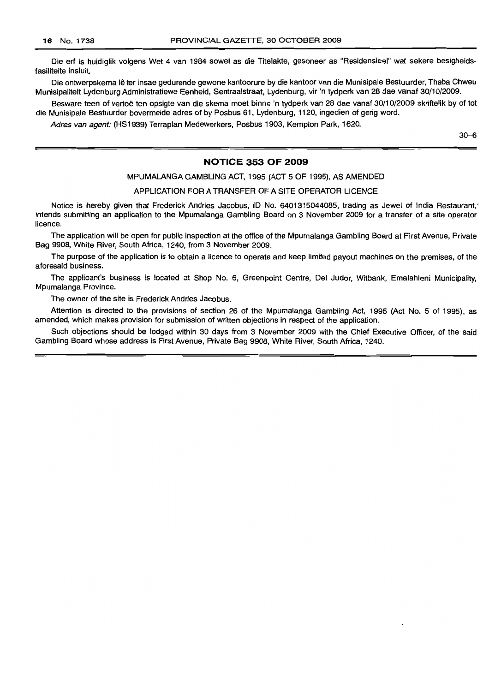Die erf is huidiglik volgens Wet 4 van 1984 sowel as die Titelakte, gesoneer as "Residensieel" wat sekere besigheidsfasiliteite insluit.

Die ontwerpskema Ie ter insae gedurende gewone kantoorure by die kantoor van die Munisipale Bestuurder, Thaba Chweu Munisipaliteit Lydenburg Administratiewe Eenheid, Sentraalstraat, Lydenburg, vir 'n tydperk van 28 dae vanaf 30/10/2009.

Besware teen of vertoë ten opsigte van die skema moet binne 'n tydperk van 28 dae vanaf 30/10/2009 skriftelik by of tot die Munisipale Bestuurder bovermelde adres of by Posbus 61, Lydenburg, 1120, ingedien of gerig word.

Adres van agent: (HS1939) Terraplan Medewerkers, Posbus 1903, Kempton Park, 1620.

30-6

### **NOTICE 353 OF 2009**

MPUMALANGA GAMBLING ACT, 1995 (ACT 5 OF 1995), AS AMENDED

APPLICATION FOR A TRANSFER OF A SITE OPERATOR LICENCE

Notice is hereby given that Frederick Andries Jacobus, 10 No. 6401315044085, trading as Jewel of India Restaurant; intends submitting an application to the Mpumalanga Gambling Board on 3 November 2009 for a transfer of a site operator licence.

The application will be open for public inspection at the office of the Mpumalanga Gambling Board at First Avenue, Private Bag 9908, White River, South Africa, 1240, from 3 November 2009.

The purpose of the application is to obtain a licence to operate and keep limited payout machines on the premises, of the aforesaid business.

The applicant's business is located at Shop No.6, Greenpoint Centre, Del Judor, Witbank, Emalahleni Municipality, Mpumalanga Province.

The owner of the site is Frederick Andries Jacobus.

Attention is directed to the provisions of section 26 of the Mpumalanga Gambling Act, 1995 (Act No. 5 of 1995), as amended, which makes provision for submission of written objections in respect of the application.

Such objections should be lodged within 30 days from 3 November 2009 with the Chief Executive Officer, of the said Gambling Board whose address is First Avenue, Private Bag 9908, White River, South Africa, 1240.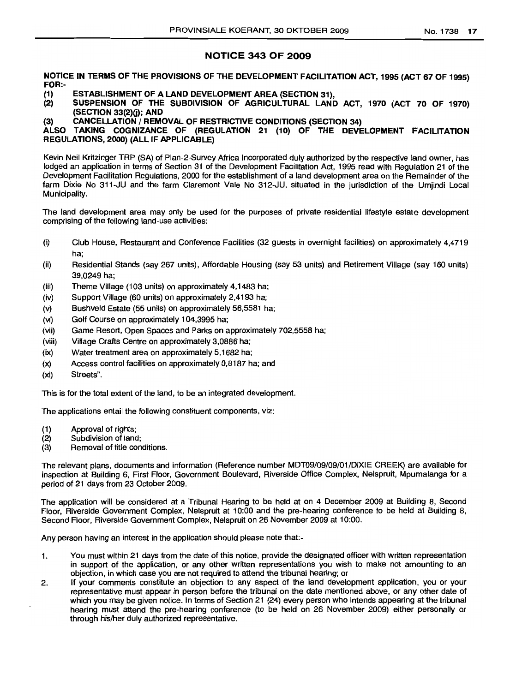# NOTICE 343 OF 2009

NOTICE IN TERMS OF THE PROVISIONS OF THE DEVELOPMENT FACILITATION ACT, 1995 (ACT 67 OF 1995) FOR:-

- (1) ESTABLISHMENT OF A LAND DEVELOPMENT AREA (SECTION 31),
- SUSPENSION OF THE SUBDIVISION OF AGRICULTURAL LAND ACT, 1970 (ACT 70 OF 1970) (SECTION 33(2){j); AND
- (3) CANCELLATION / REMOVAL OF RESTRICTIVE CONDITIONS (SECTION 34)

ALSO TAKING COGNIZANCE OF (REGULATION 21 (10) OF THE DEVELOPMENT FACILITATION REGULATIONS, 2000) (ALL IF APPLICABLE)

Kevin Neil Kritzinger TRP (SA) of Plan-2-Survey Africa Incorporated duly authorized by the respective land owner, has lodged an application in terms of Section 31 of the Development Facilitation Act, 1995 read with Regulation 21 of the Development Facilitation Regulations, 2000 for the establishment of a land development area on the Remainder of the farm Dixie No 311-JU and the farm Claremont Vale No 312-JU, situated in the jurisdiction of the Umjindi Local Municipality.

The land development area may only be used for the purposes of private residential lifestyle estate development comprising of the following land-use activities:

- (i) Club House, Restaurant and Conference Facilities (32 guests in overnight facilities) on approximately 4,4719 ha;
- (ii) Residential Stands (say 267 units), Affordable Housing (say 53 units) and Retirement Village (say 160 units) 39,0249 ha;
- (iii) Theme ViI/age (103 units) on approximately 4,1483 ha;
- (iv) Support Village (60 units) on approximately 2,4193 ha;
- (v) Bushveld Estate (55 units) on approximately 56,5581 ha;
- (vi) Golf Course on approximately 104,3995 ha;
- (vii) Game Resort, Open Spaces and Parks on approximately 702,5558 ha;
- (viii) Village Crafts Centre on approximately 3,0886 ha;
- (ix) Water treatment area on approximately 5,1682 ha;
- (x) Access control facilities on approximately 0,8187 ha; and
- (xi) Streets".

This is for the total extent of the land, to be an integrated development.

The applications entail the following constituent components, viz:

- (1) Approval of rights;
- (2) Subdivision of land;
- (3) Removal of title conditions.

The relevant plans, documents and information (Reference number MDT09/09/09/01/DIXIE CREEK) are available for inspection at Building 6, First Floor, Government Boulevard, Riverside Office Complex, Nelspruit, Mpumalanga for a period of 21 days from 23 October 2009.

The application will be considered at a Tribunal Hearing to be held at on 4 December 2009 at Building 8, Second Floor, Riverside Government Complex, Nelspruit at 10:00 and the pre-hearing conference to be held at Building 8, Second Floor, Riverside Government Complex, Nelspruit on 26 November 2009 at 10:00.

Any person having an interest in the application should please note that:-

- 1. You must within 21 days from the date of this notice, provide the designated officer with written representation in support of the application, or any other written representations you wish to make not amounting to an objection, in which case you are not required to attend the tribunal hearing; or
- 2. If your comments constitute an objection to any aspect of the land development application, you or your representative must appear in person before the tribunal on the date mentioned above, or any other date of which you may be given notice. In terms of Section 21 (24) every person who intends appearing at the tribunal hearing must attend the pre-hearing conference (to be held on 26 November 2009) either personally or through his/her duly authorized representative.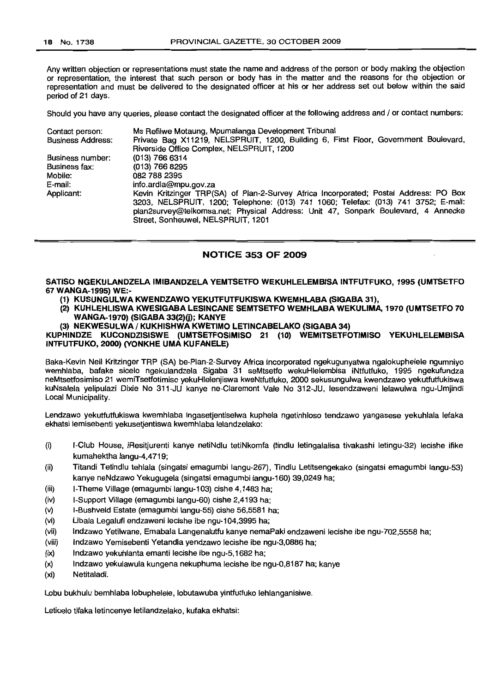Any written objection or representations must state the name and address of the person or body making the objection or representation, the interest that such person or body has in the matter and the reasons for the objection or representation and must be delivered to the designated officer at his or her address set out below within the said period of 21 days.

Should you have any queries, please contact the designated officer at the following address and / or contact numbers:

| Contact person:          | Ms Refilwe Motaung, Mpumalanga Development Tribunal                                                                                                                                                                                                                                                    |
|--------------------------|--------------------------------------------------------------------------------------------------------------------------------------------------------------------------------------------------------------------------------------------------------------------------------------------------------|
| <b>Business Address:</b> | Private Bag X11219, NELSPRUIT, 1200, Building 6, First Floor, Government Boulevard,                                                                                                                                                                                                                    |
|                          | Riverside Office Complex, NELSPRUIT, 1200                                                                                                                                                                                                                                                              |
| Business number:         | $(013)$ 766 6314                                                                                                                                                                                                                                                                                       |
| Business fax:            | (013) 766 8295                                                                                                                                                                                                                                                                                         |
| Mobile:                  | 082 788 2395                                                                                                                                                                                                                                                                                           |
| E-mail:                  | info.ardla@mpu.gov.za                                                                                                                                                                                                                                                                                  |
| Applicant:               | Kevin Kritzinger TRP(SA) of Plan-2-Survey Africa Incorporated; Postal Address: PO Box<br>3203, NELSPRUIT, 1200; Telephone: (013) 741 1060; Telefax: (013) 741 3752; E-mail:<br>plan2survey@telkomsa.net; Physical Address: Unit 47, Sonpark Boulevard, 4 Annecke<br>Street, Sonheuwel, NELSPRUIT, 1201 |

#### NOTICE 353 OF 2009

#### SATISO NGEKULANDZELA IMIBANDZELA YEMTSETFO WEKUHLELEMBISA INTFUTFUKO, 1995 (UMTSETFO 67 WANGA-1995) WE:-

- (1) KUSUNGULWA KWENDZAWO YEKUTFUTFUKISWA KWEMHLABA (SIGABA 31),
- (2) KUHLEHLlSWA KWESIGABA LESINCANE SEMTSETFO WEMHLABA WEKULlMA, 1970 (UMTSETFO 70 WANGA-1970) (SIGABA 33(2)(j); KANYE
- (3) NEKWESULWA / KUKHISHWA KWETIMO LETINCABELAKO (SIGABA 34)

KUPHINDZE KUCONDZISISWE (UMTSETFOSIMISO 21 (10) WEMITSETFOTIMISO YEKUHLELEMBISA INTFUTFUKO, 2000) (YONKHE UMA KUFANELE)

Baka-Kevin Neil Kritzinger TRP (SA) be-Plan-2-Survey Africa Incorporated ngekugunyatwa ngalokuphelele ngumniyo wemhlaba, bafake sicelo ngekulandzela Sigaba 31 seMtsetfo wekuHlelembisa iNtfutfuko, 1995 ngekufundza neMtsetfosimiso 21 wemiTsetfotimiso yekuHlelenjiswa kweNtfutfuko, 2000 sekusungulwa kwendzawo yekutfutfukiswa kuNsalela yelipu/azi Dixie No 311-JU kanye ne-Claremont Vale No 312-JU, lesendzaweni lelawulwa ngu-Umjindi Local Municipality.

Lendzawo yekutfutfukiswa kwemhlaba ingasetjentiselwa kuphela ngetinhloso tendzawo yangasese yekuhlala lefaka ekhatsi lemisebenti yekusetjentiswa kwemhlaba lelandzelako:

- (i) I-Club House, iResitjurenti kanye netiNdlu tetiNkomfa (tindlu letingalalisa tivakashi letingu-32) lecishe ifike kumahektha langu-4,4719;
- (ii) Titandi Tetindlu tehlala (singatsi emagumbi langu-267), Tindlu Letitsengekako (singatsi emagumbi langu-53) kanye neNdzawo Yekugugela (singatsi emagumbi langu-160) 39,0249 ha;
- (iii) I-Theme Village (emagumbi langu-103) cishe 4,1483 ha;
- (iv) I-Support Village (emagumbi langu-60) cishe 2,4193 ha;
- (v) I-Bushveld Estate (emagumbi langu-55) cishe 56,5581 ha;
- (vi) Libala Legalufi endzaweni lecishe ibe ngu-104,3995 ha;
- (vii) Indzawo Yetilwane, Emabala Langenalutfu kanye nemaPaki endzaweni lecishe ibe ngu-702,5558 ha;
- (viii) Indzawo Yemisebenti Yetandla yendzawo lecishe ibe ngu-3,0886 ha;
- (ix) Indzawo yekuhfanta emanti lecishe ibe ngu-5,1682 ha;
- (x) Indzawo yekulawula kungena nekuphuma lecishe ibe ngu-0,8187 ha; kanye
- (xi) Netitaladi.

Lobu bukhulu bemhlaba lobuphelele, lobutawuba yintfutfuko lehlanganisiwe.

Leticelo tifaka letincenye letilandzelako, kufaka ekhatsi: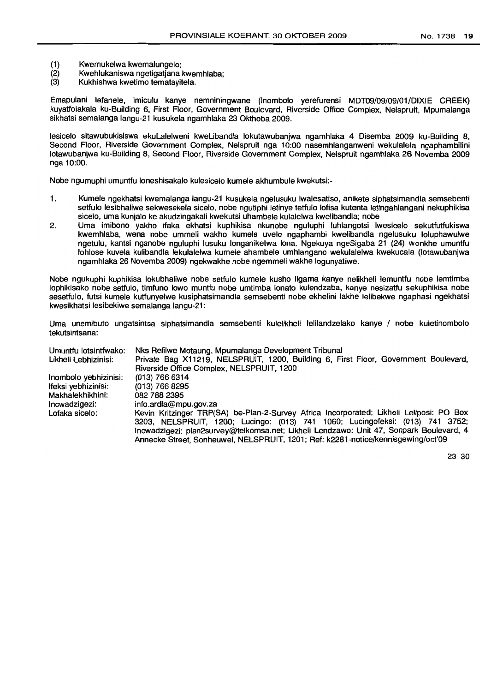- (1) Kwemukelwa kwemalungelo;
- (2) Kwehlukaniswa ngetigatjana kwemhlaba;<br>(3) Kukhishwa kwetimo tematavitela.
- Kukhishwa kwetimo tematavitela.

Emapulani latanele, imiculu kanye nemniningwane (Inombolo yerefurensi MDT09/09/09/01/DIXIE CREEK) kuyatfolakala ku-Building 6, First Floor, Government Boulevard, Riverside Office Complex, Nelspruit, Mpumalanga sikhatsi semalanga langu-21 kusukela ngamhlaka 23 Okthoba 2009.

lesicelo sitawubukisiswa ekuLalelweni kweLibandla lokutawubanjwa ngamhlaka 4 Disemba 2009 ku-Building 8, Second Floor, Riverside Government Complex, Nelspruit nga 10:00 nasemhlanganweni wekulalela ngaphambilini lotawubanjwa ku-Building 8, Second Floor, Riverside Government Complex, Nelspruit ngamhlaka 26 Novemba 2009 nga 10:00.

Nobe ngumuphi umuntfu loneshisakalo kulesicelo kumele akhumbule kwekutsi:-

- 1. Kumele ngekhatsi kwemalanga langu-21 kusukela ngelusuku Iwalesatiso, anikete siphatsimandla semsebenti setfulo lesibhaliwe sekwesekela sicelo, nobe ngutiphi letinye tetfulo lofisa kutenta letingahlangani nekuphikisa sicelo, uma kunjalo ke akudzingakali kwekutsi uhambele kulalelwa kwelibandla; nobe
- 2. Uma imibono yakho ifaka ekhatsi kuphikisa nkunobe nguluphi luhlangotsi Iwesicelo sekutfutfukiswa kwemhlaba, wena nobe ummeli wakho kumele uvele ngaphambi kwelibandla ngelusuku loluphawulwe ngetulu, kantsi nganobe nguluphi lusuku longaniketwa lona. Ngekuya ngeSigaba 21 (24) wonkhe umuntfu lohlose kuvela kulibandla lekulalelwa kumele ahambele umhlangano wekulalelwa kwekucala (Iotawubanjwa ngamhlaka 26 Novemba 2009) ngekwakhe nobe ngemmeli wakhe logunyatiwe.

Nobe ngukuphi kuphikisa lokubhaliwe nobe setfulo kumele kusho Iigama kanye nelikheli lemuntfu nobe lemtimba lophikisako nobe setfulo, timfuno Iowa muntfu nobe umtimba lonato kulendzaba, kanye nesizatfu sekuphikisa nobe sesetfulo, tutsi kumele kutfunyelwe kusiphatsimandla semsebenti nobe ekhelini lakhe lelibekwe ngaphasi ngekhatsi kwesikhatsi lesibekiwe semalanga langu-21:

Uma unemibuto ungatsintsa siphatsimandla semsebenti kulelikheli lelilandzelako kanye / nobe kuletinombolo tekutsintsana:

| Umuntfu lotsintfwako: | Nks Refilwe Motaung, Mpumalanga Development Tribunal                                    |
|-----------------------|-----------------------------------------------------------------------------------------|
| Likheli Lebhizinisi:  | Private Bag X11219, NELSPRUIT, 1200, Building 6, First Floor, Government Boulevard,     |
|                       | Riverside Office Complex, NELSPRUIT, 1200                                               |
| Inombolo yebhizinisi: | $(013)$ 766 6314                                                                        |
| Ifeksi yebhizinisi:   | (013) 766 8295                                                                          |
| Makhalekhikhini:      | 082 788 2395                                                                            |
| Incwadzigezi:         | info.ardla@mpu.gov.za                                                                   |
| Lofaka sicelo:        | Kevin Kritzinger TRP(SA) be-Plan-2-Survey Africa Incorporated; Likheli Leliposi: PO Box |
|                       | 3203, NELSPRUIT, 1200; Lucingo: (013) 741 1060; Lucingofeksi: (013) 741 3752;           |
|                       | Incwadzigezi: plan2survey@telkomsa.net; Likheli Lendzawo: Unit 47, Sonpark Boulevard, 4 |
|                       | Annecke Street, Sonheuwel, NELSPRUIT, 1201; Ref: k2281-notice/kennisgewing/oct'09       |

23-30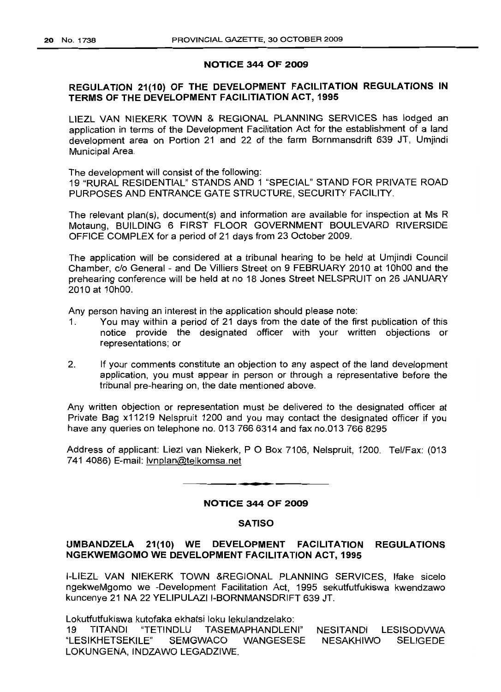### NOTICE 344 OF 2009

# REGULATION 21(10) OF THE DEVELOPMENT FACILITATION REGULATIONS IN TERMS OF THE DEVELOPMENT FACILITIATION ACT, 1995

L1EZL VAN NIEKERK TOWN & REGIONAL PLANNING SERVICES has lodged an application in terms of the Development Facilitation Act for the establishment of a land development area on Portion 21 and 22 of the farm Bornmansdrift 639 JT, Umjindi Municipal Area.

The development will consist of the following: 19 "RURAL RESIDENTIAL" STANDS AND 1 "SPECIAL" STAND FOR PRIVATE ROAD PURPOSES AND ENTRANCE GATE STRUCTURE, SECURITY FACILITY.

The relevant plan(s), document(s) and information are available for inspection at Ms R Motaung, BUILDING 6 FIRST FLOOR GOVERNMENT BOULEVARD RIVERSIDE OFFICE COMPLEX for a period of 21 days from 23 October 2009.

The application will be considered at a tribunal hearing to be held at Umjindi Council Chamber, c/o General - and De Villiers Street on 9 FEBRUARY 2010 at 10hOO and the prehearing conference will be held at no 18 Jones Street NELSPRUIT on 26 JANUARY 2010 at 10hOO.

Any person having an interest in the application should please note:

- 1. You may within a period of 21 days from the date of the first publication of this notice provide the designated officer with your written objections or representations; or
- 2. If your comments constitute an objection to any aspect of the land development application, you must appear in person or through a representative before the tribunal pre-hearing on, the date mentioned above.

Any written objection or representation must be delivered to the designated officer at Private Bag x11219 Nelspruit 1200 and you may contact the designated officer if you have any queries on telephone no. 013 766 6314 and fax no.013 766 8295

Address of applicant: Liezl van Niekerk, P O Box 7106, Nelspruit, 1200. Tel/Fax: (013 741 4086) E-mail: Ivnplan@telkomsa.net

# NOTICE 344 OF 2009

**• E**

#### SATISO

# UMBANDZELA 21(10) WE DEVELOPMENT FACILITATION REGULATIONS NGEKWEMGOMO WE DEVELOPMENT FACILITATION ACT, 1995

I-LIEZL VAN NIEKERK TOWN &REGIONAL PLANNING SERVICES, Ifake sicelo ngekweMgomo we -Development Facilitation Act, 1995 sekutfutfukiswa kwendzawo kuncenye 21 NA 22 YELIPULAZI I-BORNMANSDRIFT 639 JT.

Lokutfutfukiswa kutofaka ekhatsi loku lekulandzelako:

19 TITANDI "TETINDLU TASEMAPHANDLENI" "LESIKHETSEKILE" SEMGWACO WANGESESE LOKUNGENA, INDZAWO LEGADZIWE. NESITANDI LESISODVWA NESAKHIWO SELIGEDE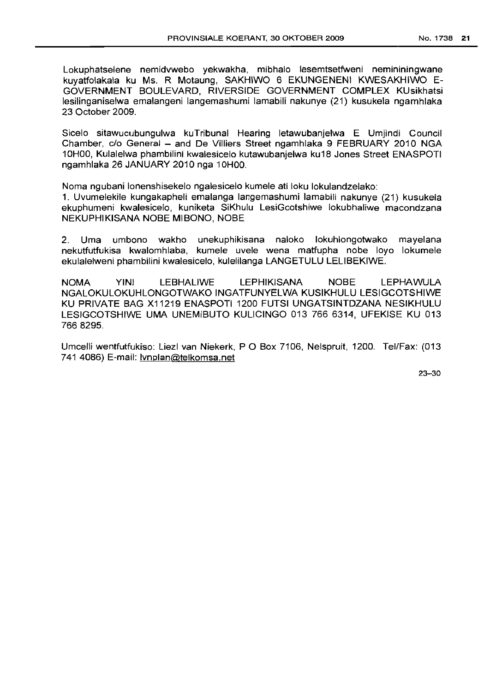Lokuphatselene nemidvwebo yekwakha, mibhalo lesemtsetfweni nemininingwane kuyatfolakala ku Ms. R Motaung, SAKHIWO 6 EKUNGENENI KWESAKHIWO E-GOVERNMENT BOULEVARD, RIVERSIDE GOVERNMENT COMPLEX KUsikhatsi lesilinganiselwa emalangeni langemashumi lamabili nakunye (21) kusukela ngamhlaka 23 October 2009.

Sicelo sitawucubungulwa kuTribunal Hearing letawubanjelwa E Umjindi Council Chamber, c/o General - and De Villiers Street ngamhlaka 9 FEBRUARY 2010 NGA 10H00, Kulalelwa phambilini kwalesicelo kutawubanjelwa ku18 Jones Street ENASPOTI ngamhlaka 26 JANUARY 2010 nga 10HOO.

Noma ngubani lonenshisekelo ngalesicelo kumele ati loku lokulandzelako:

1. Uvumelekile kungakapheli emalanga langemashumi lamabili nakunye (21) kusukela ekuphumeni kwalesicelo, kuniketa SiKhulu LesiGcotshiwe lokubhaliwe macondzana NEKUPHIKISANA NOBE MIBONO, NOBE

2. Uma umbono wakho unekuphikisana naloko lokuhlongotwako mayelana nekutfutfukisa kwalomhlaba, kumele uvele wena matfupha nobe loyo lokumele ekulalelweni phambilini kwalesicelo, kulelilanga LANGETULU LELIBEKIWE.

NOMA YINI LEBHALIWE LEPHIKISANA NOBE LEPHAWULA NGALOKULOKUHLONGOTWAKO INGATFUNYELWA KUSIKHULU LESIGCOTSHIWE KU PRIVATE BAG X11219 ENASPOTI 1200 FUTSI UNGATSINTDZANA NESIKHULU LESIGCOTSHIWE UMA UNEMIBUTO KULICINGO 013 766 6314, UFEKISE KU 013 7668295.

Umeelli wentfutfukiso: Liezl van Niekerk, POBox 7106, Nelspruit, 1200. Tel/Fax: (013 741 4086) E-mail: Ivnplan@telkomsa.net

23-30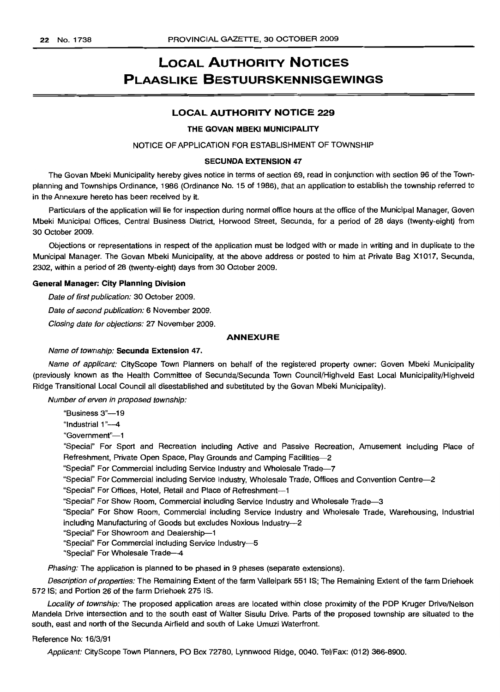# LOCAL AUTHORITY NOTICES PLAASLIKE BESTUURSKENNISGEWINGS

# LOCAL AUTHORITY NOTICE 229

#### THE GOVAN MBEKI MUNICIPALITY

NOTICE OF APPLICATION FOR ESTABLISHMENT OF TOWNSHIP

#### SECUNDA EXTENSION 47

The Govan Mbeki Municipality hereby gives notice in terms of section 69, read in conjunction with section 96 of the Townplanning and Townships Ordinance, 1986 (Ordinance No. 15 of 1986), that an application to establish the township referred to in the Annexure hereto has been received by it.

Particulars of the application will lie for inspection during normal office hours at the office of the Municipal Manager, Goven Mbeki Municipal Offices, Central Business District, Horwood Street, Secunda, for a period of 28 days (twenty-eight) from 30 October 2009.

Objections or representations in respect of the application must be lodged with or made in writing and in duplicate to the Municipal Manager. The Govan Mbeki Municipality, at the above address or posted to him at Private Bag X1017, Secunda, 2302, within a period of 28 (twenty-eight) days from 30 October 2009.

#### General Manager: City Planning Division

Date of first publication: 30 October 2009.

Date of second publication: 6 November 2009.

Closing date for objections: 27 November 2009.

#### ANNEXURE

#### Name of township: Secunda Extension 47.

Name of applicant: CityScope Town Planners on behalf of the registered property owner: Goven Mbeki Municipality (previously known as the Health Committee of Secunda/Secunda Town Council/Highveld East Local Municipality/Highveld Ridge Transitional Local Council all disestablished and substituted by the Govan Mbeki Municipality).

Number of erven in proposed township:

"Business 3"-19

"Industrial 1"-4

"Government"-1

"Special" For Sport and Recreation including Active and Passive Recreation, Amusement including Place of Refreshment, Private Open Space, Play Grounds and Camping Facilities-2

"Special" For Commercial including Service Industry and Wholesale Trade--7

"Special" For Commercial including Service Industry, Wholesale Trade, Offices and Convention Centre--2

"Special" For Offices, Hotel, Retail and Place of Refreshment-1

"Special" For Show Room, Commercial including Service Industry and Wholesale Trade--3

"Special" For Show Room, Commercial including Service Industry and Wholesale Trade, Warehousing, Industrial including Manufacturing of Goods but excludes Noxious Industry-2

"Special" For Showroom and Dealership-1

"Special" For Commercial including Service Industry-5

"Special" For Wholesale Trade-4

Phasing: The application is planned to be phased in 9 phases (separate extensions).

Description of properties: The Remaining Extent of the farm Valleipark 551 IS; The Remaining Extent of the farm Driehoek 572 IS; and Portion 26 of the farm Driehoek 275 IS.

Locality of township: The proposed application areas are located within close proximity of the PDP Kruger Drive/Nelson Mandela Drive intersection and to the south east of Walter Sisulu Drive. Parts of the proposed township are situated to the south, east and north of the Secunda Airfield and south of Lake Umuzi Waterfront.

#### Reference No: 16/3/91

Applicant: CityScope Town Planners, PO Box 72780, Lynnwood Ridge, 0040. Tel/Fax: (012) 366-8900.